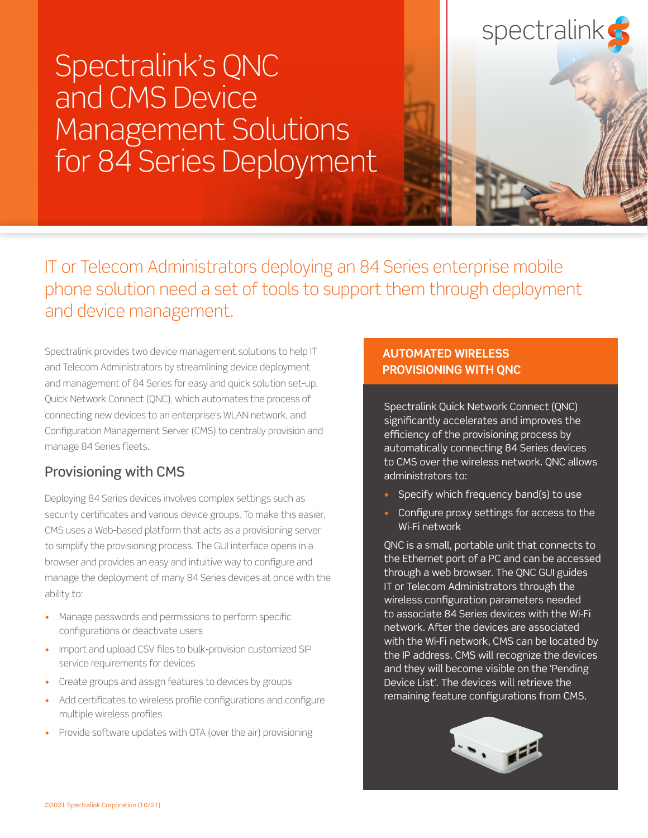# Spectralink's QNC and CMS Device Management Solutions for 84 Series Deployment



IT or Telecom Administrators deploying an 84 Series enterprise mobile phone solution need a set of tools to support them through deployment and device management.

Spectralink provides two device management solutions to help IT and Telecom Administrators by streamlining device deployment and management of 84 Series for easy and quick solution set-up. Quick Network Connect (QNC), which automates the process of connecting new devices to an enterprise's WLAN network, and Configuration Management Server (CMS) to centrally provision and manage 84 Series fleets.

## Provisioning with CMS

Deploying 84 Series devices involves complex settings such as security certificates and various device groups. To make this easier, CMS uses a Web-based platform that acts as a provisioning server to simplify the provisioning process. The GUI interface opens in a browser and provides an easy and intuitive way to configure and manage the deployment of many 84 Series devices at once with the ability to:

- Manage passwords and permissions to perform specific configurations or deactivate users
- Import and upload CSV files to bulk-provision customized SIP service requirements for devices
- Create groups and assign features to devices by groups
- Add certificates to wireless profile configurations and configure multiple wireless profiles
- Provide software updates with OTA (over the air) provisioning

### **AUTOMATED WIRELESS PROVISIONING WITH QNC**

Spectralink Quick Network Connect (QNC) significantly accelerates and improves the efficiency of the provisioning process by automatically connecting 84 Series devices to CMS over the wireless network. QNC allows administrators to:

- Specify which frequency band(s) to use
- Configure proxy settings for access to the Wi-Fi network

QNC is a small, portable unit that connects to the Ethernet port of a PC and can be accessed through a web browser. The QNC GUI guides IT or Telecom Administrators through the wireless configuration parameters needed to associate 84 Series devices with the Wi-Fi network. After the devices are associated with the Wi-Fi network, CMS can be located by the IP address. CMS will recognize the devices and they will become visible on the 'Pending Device List'. The devices will retrieve the remaining feature configurations from CMS.

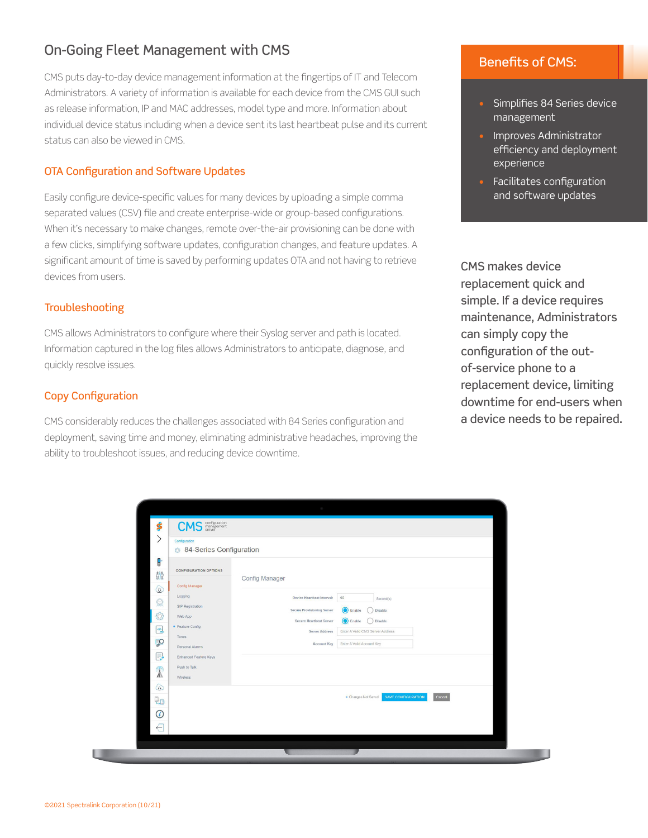## On-Going Fleet Management with CMS

CMS puts day-to-day device management information at the fingertips of IT and Telecom Administrators. A variety of information is available for each device from the CMS GUI such as release information, IP and MAC addresses, model type and more. Information about individual device status including when a device sent its last heartbeat pulse and its current status can also be viewed in CMS.

#### OTA Configuration and Software Updates

Easily configure device-specific values for many devices by uploading a simple comma separated values (CSV) file and create enterprise-wide or group-based configurations. When it's necessary to make changes, remote over-the-air provisioning can be done with a few clicks, simplifying software updates, configuration changes, and feature updates. A significant amount of time is saved by performing updates OTA and not having to retrieve devices from users.

#### **Troubleshooting**

CMS allows Administrators to configure where their Syslog server and path is located. Information captured in the log files allows Administrators to anticipate, diagnose, and quickly resolve issues.

#### Copy Configuration

CMS considerably reduces the challenges associated with 84 Series configuration and deployment, saving time and money, eliminating administrative headaches, improving the ability to troubleshoot issues, and reducing device downtime.

#### Benefits of CMS:

- Simplifies 84 Series device management
- Improves Administrator efficiency and deployment experience
- Facilitates configuration and software updates

CMS makes device replacement quick and simple. If a device requires maintenance, Administrators can simply copy the configuration of the outof-service phone to a replacement device, limiting downtime for end-users when a device needs to be repaired.

| ><br>Configuration                                                                                                                                                                                                                                              |                                                                                                                                                                                                                                                               |
|-----------------------------------------------------------------------------------------------------------------------------------------------------------------------------------------------------------------------------------------------------------------|---------------------------------------------------------------------------------------------------------------------------------------------------------------------------------------------------------------------------------------------------------------|
| 84-Series Configuration<br>G<br><b>CONFIGURATION OPTIONS</b><br>th                                                                                                                                                                                              | <b>Config Manager</b>                                                                                                                                                                                                                                         |
| Config Manager<br>⊙<br>Logging<br>$\mathbf{Q}$<br>SIP Registration<br>€<br>Web App<br>· Feature Config<br>$\frac{4}{3}$<br>Tones<br>$\mathbb{R}$<br>Personal Alarms<br>f<br><b>Enhanced Feature Keys</b><br>Push to Talk<br>$\circledR$<br>A<br><b>Wireless</b> | Device Heartbeat Interval:<br>60<br>Second(s)<br>C Enable<br>Secure Provisioning Server<br>Disable<br>Secure Heartbeat Server<br>C Enable<br>Disable<br>Enter A Valid CMS Server Address<br>Server Address<br>Enter A Valid Account Key<br><b>Account Key</b> |
| ᢙ<br>Qα<br>$\,G\,$<br>$\bigoplus$                                                                                                                                                                                                                               | Cancel<br>· Changes Not Saved<br>SAVE CONFIGURATION                                                                                                                                                                                                           |